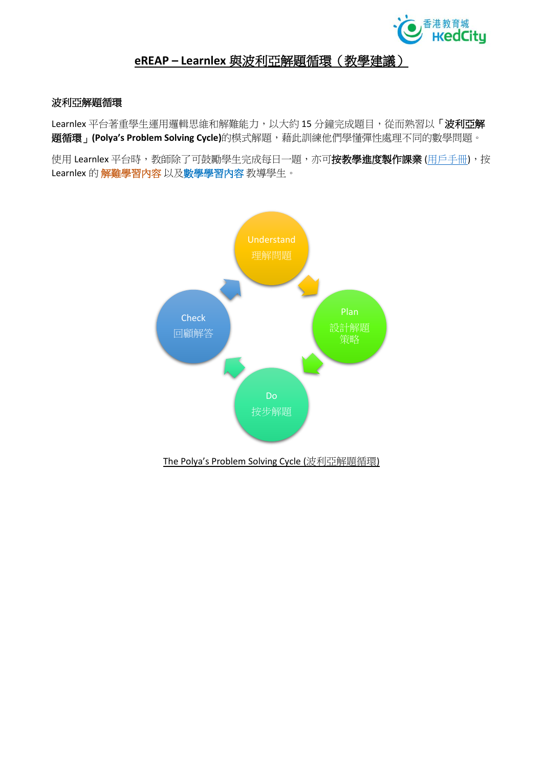

### **eREAP – Learnlex** 與波利亞解題循環(教學建議)

### 波利亞解題循環

Learnlex 平台著重學生運用邏輯思維和解難能力, 以大約 15 分鐘完成題目, 從而熟習以「波利亞解 題循環」**(Polya's Problem Solving Cycle)**的模式解題,藉此訓練他們學懂彈性處理不同的數學問題。

使用 Learnlex 平台時,教師除了可鼓勵學生完成每日一題,亦可按教學進度製作課業 ([用戶手冊](https://www.hkedcity.net/ereap/zh-hant/learnlex)),按 Learnlex 的 解難學習內容 以及數學學習內容 教導學生。

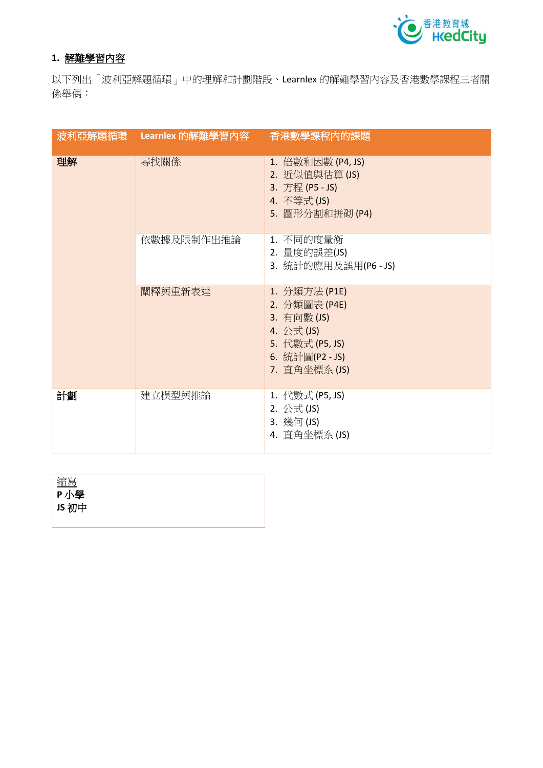

## **1.** 解難學習內容

以下列出「波利亞解題循環」中的理解和計劃階段、Learnlex 的解難學習內容及香港數學課程三者關 係舉偶:

|    | 波利亞解題循環 Learnlex 的解難學習內容 | 香港數學課程內的課題                                                                                                        |
|----|--------------------------|-------------------------------------------------------------------------------------------------------------------|
| 理解 | 尋找關係                     | 1. 倍數和因數 (P4, JS)<br>2. 近似值與估算 (JS)<br>3. 方程 (P5 - JS)<br>4. 不等式(JS)<br>5. 圖形分割和拼砌(P4)                            |
|    | 依數據及限制作出推論               | 1. 不同的度量衡<br>2. 量度的誤差(JS)<br>3. 統計的應用及誤用(P6 - JS)                                                                 |
|    | 闡釋與重新表達                  | 1. 分類方法 (P1E)<br>2. 分類圖表 (P4E)<br>3. 有向數 (JS)<br>4. 公式(JS)<br>5. 代數式 (P5, JS)<br>6. 統計圖(P2 - JS)<br>7. 直角坐標系 (JS) |
| 計劃 | 建立模型與推論                  | 1. 代數式 (P5, JS)<br>2. 公式(JS)<br>3. 幾何 (JS)<br>4. 直角坐標系 (JS)                                                       |

| 縮寫    |  |  |  |
|-------|--|--|--|
| P小學   |  |  |  |
| JS 初中 |  |  |  |
|       |  |  |  |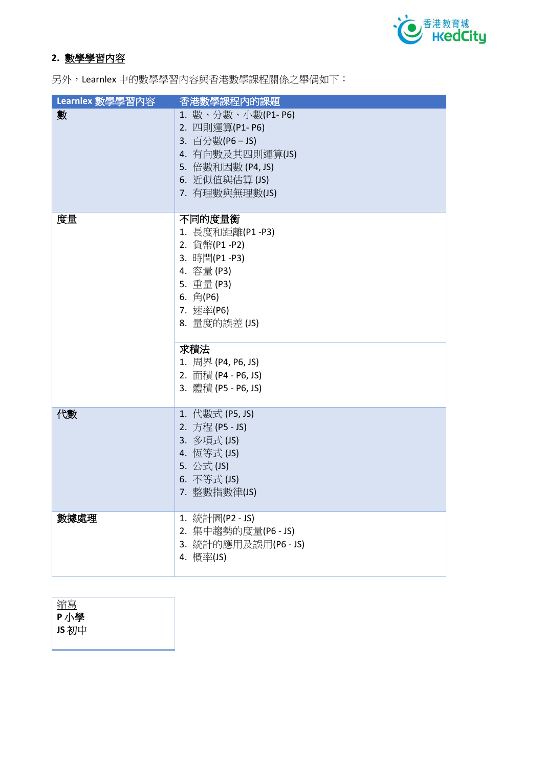

# **2.** 數學學習內容

另外,Learnlex 中的數學學習內容與香港數學課程關係之舉偶如下:

| Learnlex 數學學習內容 | 香港數學課程內的課題                                                                                                                                                                                                 |
|-----------------|------------------------------------------------------------------------------------------------------------------------------------------------------------------------------------------------------------|
| 數               | 1. 數、分數、小數(P1- P6)<br>2. 四則運算(P1-P6)<br>3. 百分數(P6-JS)<br>4. 有向數及其四則運算(JS)<br>5. 倍數和因數 (P4, JS)<br>6. 近似值與估算(JS)<br>7. 有理數與無理數(JS)                                                                          |
| 度量              | 不同的度量衡<br>1. 長度和距離(P1 -P3)<br>2. 貨幣(P1-P2)<br>3. 時間(P1-P3)<br>4. 容量(P3)<br>5. 重量 (P3)<br>6. 角(P6)<br>7. 速率(P6)<br>8. 量度的誤差 (JS)<br>求積法<br>1. 周界 (P4, P6, JS)<br>2. 面積 (P4 - P6, JS)<br>3. 體積 (P5 - P6, JS) |
| 代數              | 1. 代數式 (P5, JS)<br>2. 方程 (P5 - JS)<br>3. 多項式(JS)<br>4. 恆等式(JS)<br>5. 公式(JS)<br>6. 不等式(JS)<br>7. 整數指數律(JS)                                                                                                  |
| 數據處理            | 1. 統計圖(P2 - JS)<br>2. 集中趨勢的度量(P6 - JS)<br>3. 統計的應用及誤用(P6 - JS)<br>4. 概率(JS)                                                                                                                                |

| Z, | ÷<br>白       |  |
|----|--------------|--|
| ₽  | я<br>۰<br>k. |  |

**JS** 初中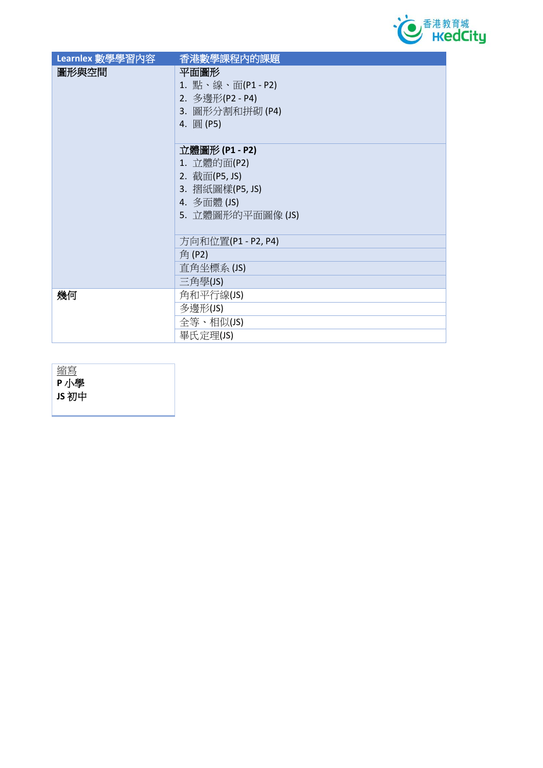

| Learnlex 數學學習內容 | 香港數學課程內的課題         |
|-----------------|--------------------|
| 圖形與空間           | 平面圖形               |
|                 | 1. 點、線、面(P1 - P2)  |
|                 | 2. 多邊形(P2 - P4)    |
|                 | 3. 圖形分割和拼砌 (P4)    |
|                 | 4. 圓(P5)           |
|                 |                    |
|                 | 立體圖形 (P1 - P2)     |
|                 | 1. 立體的面(P2)        |
|                 | 2. 截面(P5, JS)      |
|                 | 3. 摺紙圖樣(P5, JS)    |
|                 | 4. 多面體 (JS)        |
|                 | 5. 立體圖形的平面圖像 (JS)  |
|                 |                    |
|                 | 方向和位置(P1 - P2, P4) |
|                 | 角(P2)              |
|                 | 直角坐標系 (JS)         |
|                 | 三角學(JS)            |
| 幾何              | 角和平行線(JS)          |
|                 | 多邊形(JS)            |
|                 | 全等、相似(JS)          |
|                 | 畢氏定理(JS)           |

| <u>縮寫</u> |  |
|-----------|--|
| P小學       |  |
| JS 初中     |  |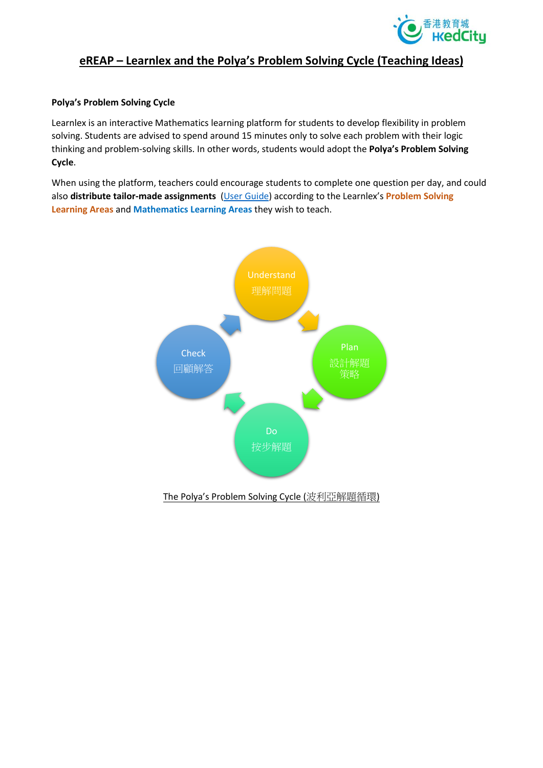

### **eREAP – Learnlex and the Polya's Problem Solving Cycle (Teaching Ideas)**

#### **Polya's Problem Solving Cycle**

Learnlex is an interactive Mathematics learning platform for students to develop flexibility in problem solving. Students are advised to spend around 15 minutes only to solve each problem with their logic thinking and problem-solving skills. In other words, students would adopt the **Polya's Problem Solving Cycle**.

When using the platform, teachers could encourage students to complete one question per day, and could also **distribute tailor-made assignments** [\(User Guide\)](https://www.hkedcity.net/ereap/en/learnlex) according to the Learnlex's **Problem Solving Learning Areas** and **Mathematics Learning Areas** they wish to teach.

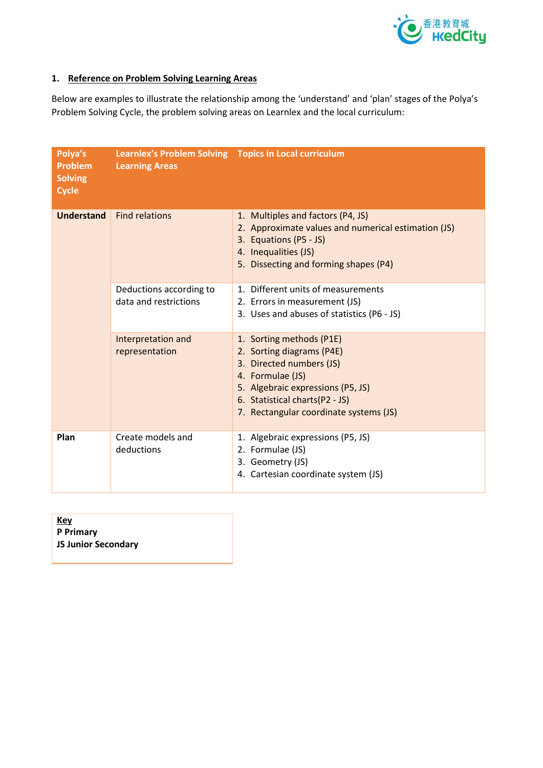

## **1. Reference on Problem Solving Learning Areas**

Below are examples to illustrate the relationship among the 'understand' and 'plan' stages of the Polya's Problem Solving Cycle, the problem solving areas on Learnlex and the local curriculum:

| Polya's<br><b>Problem</b><br><b>Solving</b><br><b>Cycle</b> | Learnlex's Problem Solving  Topics in Local curriculum<br><b>Learning Areas</b> |                                                                                                                                                                                                                        |
|-------------------------------------------------------------|---------------------------------------------------------------------------------|------------------------------------------------------------------------------------------------------------------------------------------------------------------------------------------------------------------------|
| <b>Understand</b>                                           | <b>Find relations</b>                                                           | 1. Multiples and factors (P4, JS)<br>2. Approximate values and numerical estimation (JS)<br>3. Equations (P5 - JS)<br>4. Inequalities (JS)<br>5. Dissecting and forming shapes (P4)                                    |
|                                                             | Deductions according to<br>data and restrictions                                | 1. Different units of measurements<br>2. Errors in measurement (JS)<br>3. Uses and abuses of statistics (P6 - JS)                                                                                                      |
|                                                             | Interpretation and<br>representation                                            | 1. Sorting methods (P1E)<br>2. Sorting diagrams (P4E)<br>3. Directed numbers (JS)<br>4. Formulae (JS)<br>5. Algebraic expressions (P5, JS)<br>6. Statistical charts(P2 - JS)<br>7. Rectangular coordinate systems (JS) |
| Plan                                                        | Create models and<br>deductions                                                 | 1. Algebraic expressions (P5, JS)<br>2. Formulae (JS)<br>3. Geometry (JS)<br>4. Cartesian coordinate system (JS)                                                                                                       |

| <u>Key</u>                 |  |
|----------------------------|--|
| <b>P</b> Primary           |  |
| <b>JS Junior Secondary</b> |  |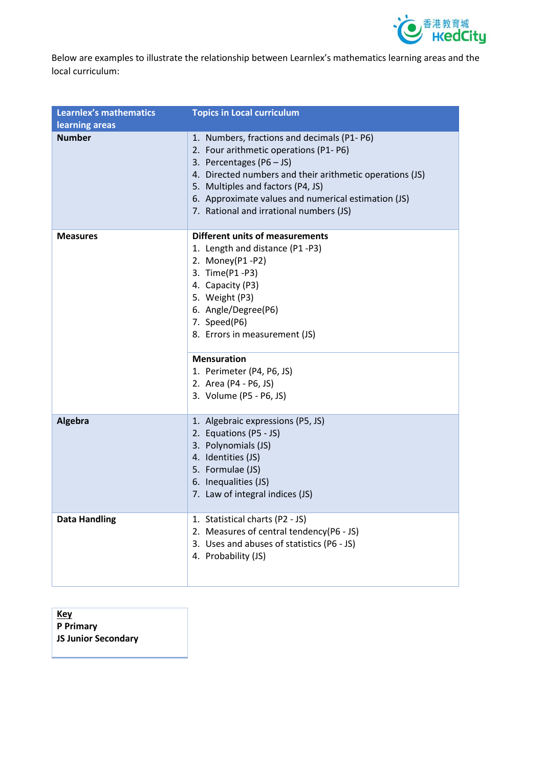

Below are examples to illustrate the relationship between Learnlex's mathematics learning areas and the local curriculum:

| <b>Learnlex's mathematics</b> | <b>Topics in Local curriculum</b>                                                                                                                                                                                                                                                                                      |
|-------------------------------|------------------------------------------------------------------------------------------------------------------------------------------------------------------------------------------------------------------------------------------------------------------------------------------------------------------------|
| learning areas                |                                                                                                                                                                                                                                                                                                                        |
| <b>Number</b>                 | 1. Numbers, fractions and decimals (P1-P6)<br>2. Four arithmetic operations (P1-P6)<br>3. Percentages ( $P6 - JS$ )<br>4. Directed numbers and their arithmetic operations (JS)<br>5. Multiples and factors (P4, JS)<br>6. Approximate values and numerical estimation (JS)<br>7. Rational and irrational numbers (JS) |
| <b>Measures</b>               | <b>Different units of measurements</b><br>1. Length and distance (P1 -P3)<br>2. Money(P1-P2)<br>3. Time(P1 -P3)<br>4. Capacity (P3)<br>5. Weight (P3)<br>6. Angle/Degree(P6)<br>7. Speed(P6)<br>8. Errors in measurement (JS)<br><b>Mensuration</b><br>1. Perimeter (P4, P6, JS)<br>2. Area (P4 - P6, JS)              |
|                               | 3. Volume (P5 - P6, JS)                                                                                                                                                                                                                                                                                                |
| <b>Algebra</b>                | 1. Algebraic expressions (P5, JS)<br>2. Equations (P5 - JS)<br>3. Polynomials (JS)<br>4. Identities (JS)<br>5. Formulae (JS)<br>6. Inequalities (JS)<br>7. Law of integral indices (JS)                                                                                                                                |
| <b>Data Handling</b>          | 1. Statistical charts (P2 - JS)<br>2. Measures of central tendency(P6 - JS)<br>3. Uses and abuses of statistics (P6 - JS)<br>4. Probability (JS)                                                                                                                                                                       |

**Key P Primary JS Junior Secondary**